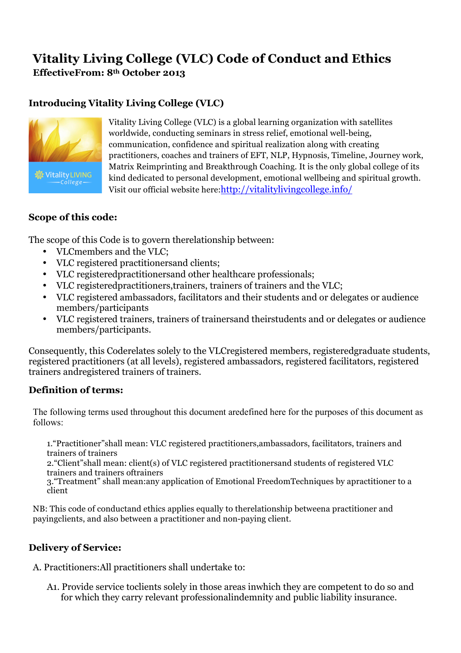# **Vitality Living College (VLC) Code of Conduct and Ethics EffectiveFrom: 8th October 2013**

# **Introducing Vitality Living College (VLC)**



Vitality Living College (VLC) is a global learning organization with satellites worldwide, conducting seminars in stress relief, emotional well-being, communication, confidence and spiritual realization along with creating practitioners, coaches and trainers of EFT, NLP, Hypnosis, Timeline, Journey work, Matrix Reimprinting and Breakthrough Coaching. It is the only global college of its kind dedicated to personal development, emotional wellbeing and spiritual growth. Visit our official website here:http://vitalitylivingcollege.info/

#### **Scope of this code:**

The scope of this Code is to govern therelationship between:

- VLCmembers and the VLC;
- VLC registered practitionersand clients;
- VLC registeredpractitionersand other healthcare professionals;
- VLC registeredpractitioners,trainers, trainers of trainers and the VLC;
- VLC registered ambassadors, facilitators and their students and or delegates or audience members/participants
- VLC registered trainers, trainers of trainersand theirstudents and or delegates or audience members/participants.

Consequently, this Coderelates solely to the VLCregistered members, registeredgraduate students, registered practitioners (at all levels), registered ambassadors, registered facilitators, registered trainers andregistered trainers of trainers.

## **Definition of terms:**

The following terms used throughout this document aredefined here for the purposes of this document as follows:

1."Practitioner"shall mean: VLC registered practitioners,ambassadors, facilitators, trainers and trainers of trainers

2."Client"shall mean: client(s) of VLC registered practitionersand students of registered VLC trainers and trainers oftrainers

3."Treatment" shall mean:any application of Emotional FreedomTechniques by apractitioner to a client

NB: This code of conductand ethics applies equally to therelationship betweena practitioner and payingclients, and also between a practitioner and non-paying client.

## **Delivery of Service:**

A. Practitioners:All practitioners shall undertake to:

A1. Provide service toclients solely in those areas inwhich they are competent to do so and for which they carry relevant professionalindemnity and public liability insurance.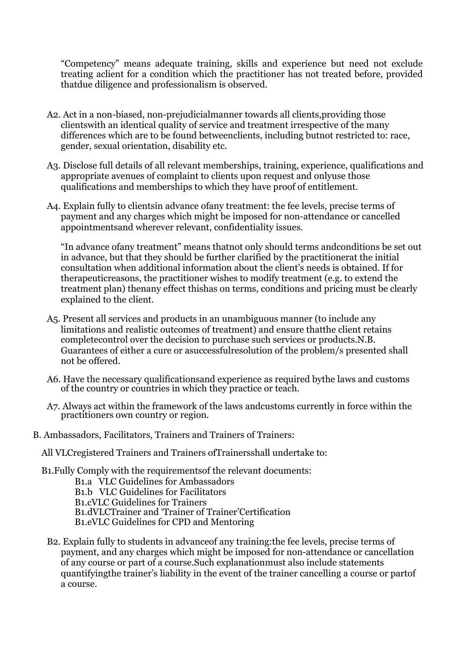"Competency" means adequate training, skills and experience but need not exclude treating aclient for a condition which the practitioner has not treated before, provided thatdue diligence and professionalism is observed.

- A2. Act in a non-biased, non-prejudicialmanner towards all clients,providing those clientswith an identical quality of service and treatment irrespective of the many differences which are to be found betweenclients, including butnot restricted to: race, gender, sexual orientation, disability etc.
- A3. Disclose full details of all relevant memberships, training, experience, qualifications and appropriate avenues of complaint to clients upon request and onlyuse those qualifications and memberships to which they have proof of entitlement.
- A4. Explain fully to clientsin advance ofany treatment: the fee levels, precise terms of payment and any charges which might be imposed for non-attendance or cancelled appointmentsand wherever relevant, confidentiality issues.

"In advance ofany treatment" means thatnot only should terms andconditions be set out in advance, but that they should be further clarified by the practitionerat the initial consultation when additional information about the client's needs is obtained. If for therapeuticreasons, the practitioner wishes to modify treatment (e.g. to extend the treatment plan) thenany effect thishas on terms, conditions and pricing must be clearly explained to the client.

- A5. Present all services and products in an unambiguous manner (to include any limitations and realistic outcomes of treatment) and ensure thatthe client retains completecontrol over the decision to purchase such services or products.N.B. Guarantees of either a cure or asuccessfulresolution of the problem/s presented shall not be offered.
- A6. Have the necessary qualificationsand experience as required bythe laws and customs of the country or countries in which they practice or teach.
- A7. Always act within the framework of the laws andcustoms currently in force within the practitioners own country or region.
- B. Ambassadors, Facilitators, Trainers and Trainers of Trainers:

All VLCregistered Trainers and Trainers ofTrainersshall undertake to:

B1.Fully Comply with the requirementsof the relevant documents:

- B1.a VLC Guidelines for Ambassadors
- B1.b VLC Guidelines for Facilitators

B1.cVLC Guidelines for Trainers

B1.dVLCTrainer and 'Trainer of Trainer'Certification

B1.eVLC Guidelines for CPD and Mentoring

B2. Explain fully to students in advanceof any training:the fee levels, precise terms of payment, and any charges which might be imposed for non-attendance or cancellation of any course or part of a course.Such explanationmust also include statements quantifyingthe trainer's liability in the event of the trainer cancelling a course or partof a course.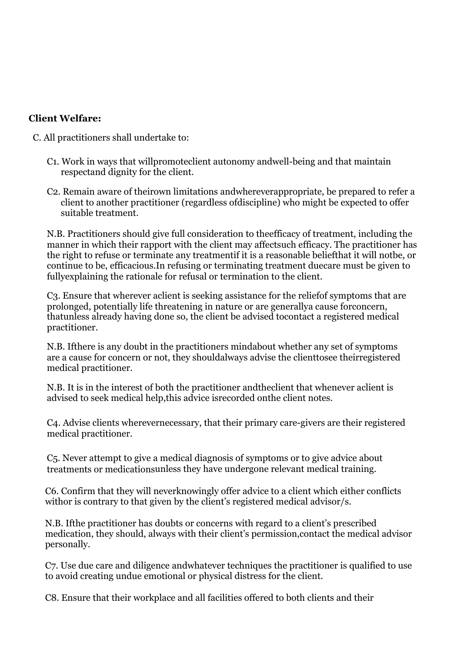# **Client Welfare:**

C. All practitioners shall undertake to:

- C1. Work in ways that willpromoteclient autonomy andwell-being and that maintain respectand dignity for the client.
- C2. Remain aware of theirown limitations andwhereverappropriate, be prepared to refer a client to another practitioner (regardless ofdiscipline) who might be expected to offer suitable treatment.

N.B. Practitioners should give full consideration to theefficacy of treatment, including the manner in which their rapport with the client may affectsuch efficacy. The practitioner has the right to refuse or terminate any treatmentif it is a reasonable beliefthat it will notbe, or continue to be, efficacious.In refusing or terminating treatment duecare must be given to fullyexplaining the rationale for refusal or termination to the client.

C3. Ensure that wherever aclient is seeking assistance for the reliefof symptoms that are prolonged, potentially life threatening in nature or are generallya cause forconcern, thatunless already having done so, the client be advised tocontact a registered medical practitioner.

N.B. Ifthere is any doubt in the practitioners mindabout whether any set of symptoms are a cause for concern or not, they shouldalways advise the clienttosee theirregistered medical practitioner.

N.B. It is in the interest of both the practitioner andtheclient that whenever aclient is advised to seek medical help,this advice isrecorded onthe client notes.

C4. Advise clients wherevernecessary, that their primary care-givers are their registered medical practitioner.

C5. Never attempt to give a medical diagnosis of symptoms or to give advice about treatments or medicationsunless they have undergone relevant medical training.

C6. Confirm that they will neverknowingly offer advice to a client which either conflicts withor is contrary to that given by the client's registered medical advisor/s.

N.B. Ifthe practitioner has doubts or concerns with regard to a client's prescribed medication, they should, always with their client's permission,contact the medical advisor personally.

C7. Use due care and diligence andwhatever techniques the practitioner is qualified to use to avoid creating undue emotional or physical distress for the client.

C8. Ensure that their workplace and all facilities offered to both clients and their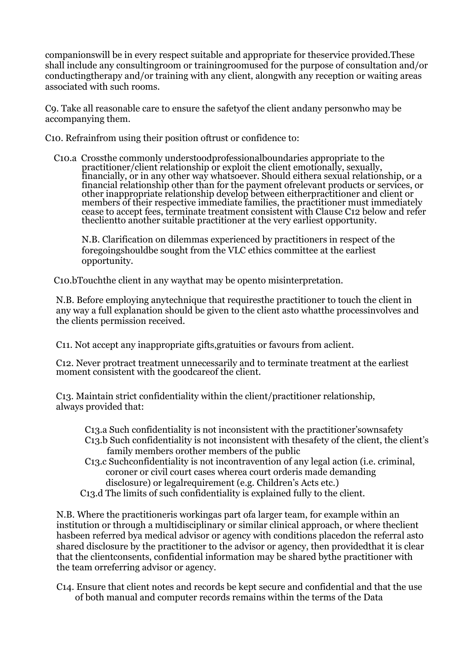companionswill be in every respect suitable and appropriate for theservice provided.These shall include any consultingroom or trainingroomused for the purpose of consultation and/or conductingtherapy and/or training with any client, alongwith any reception or waiting areas associated with such rooms.

C9. Take all reasonable care to ensure the safetyof the client andany personwho may be accompanying them.

C10. Refrainfrom using their position oftrust or confidence to:

C10.a Crossthe commonly understoodprofessionalboundaries appropriate to the practitioner/client relationship or exploit the client emotionally, sexually,<br>financially, or in any other way whatsoever. Should eithera sexual relationship, or a<br>financial relationship other than for the payment ofreleva other inappropriate relationship develop between eitherpractitioner and client or members of their respective immediate families, the practitioner must immediately cease to accept fees, terminate treatment consistent with Clause C12 below and refer theclientto another suitable practitioner at the very earliest opportunity.

N.B. Clarification on dilemmas experienced by practitioners in respect of the foregoingshouldbe sought from the VLC ethics committee at the earliest opportunity.

C10.bTouchthe client in any waythat may be opento misinterpretation.

N.B. Before employing anytechnique that requiresthe practitioner to touch the client in any way a full explanation should be given to the client asto whatthe processinvolves and the clients permission received.

C11. Not accept any inappropriate gifts,gratuities or favours from aclient.

C12. Never protract treatment unnecessarily and to terminate treatment at the earliest moment consistent with the goodcare of the client.

C13. Maintain strict confidentiality within the client/practitioner relationship, always provided that:

- C13.a Such confidentiality is not inconsistent with the practitioner'sownsafety C13.b Such confidentiality is not inconsistent with thesafety of the client, the client's family members orother members of the public
- C13.c Suchconfidentiality is not incontravention of any legal action (i.e. criminal, coroner or civil court cases wherea court orderis made demanding disclosure) or legalrequirement (e.g. Children's Acts etc.)
- C13.d The limits of such confidentiality is explained fully to the client.

N.B. Where the practitioneris workingas part ofa larger team, for example within an institution or through a multidisciplinary or similar clinical approach, or where theclient hasbeen referred bya medical advisor or agency with conditions placedon the referral asto shared disclosure by the practitioner to the advisor or agency, then providedthat it is clear that the clientconsents, confidential information may be shared bythe practitioner with the team orreferring advisor or agency.

C14. Ensure that client notes and records be kept secure and confidential and that the use of both manual and computer records remains within the terms of the Data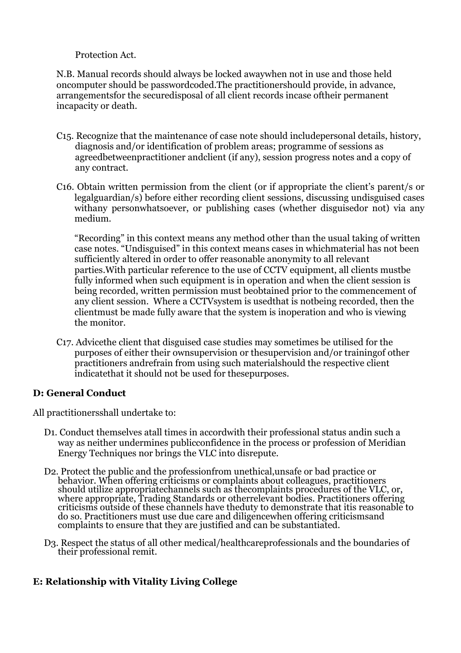#### Protection Act.

N.B. Manual records should always be locked awaywhen not in use and those held oncomputer should be passwordcoded.The practitionershould provide, in advance, arrangementsfor the securedisposal of all client records incase oftheir permanent incapacity or death.

- C15. Recognize that the maintenance of case note should includepersonal details, history, diagnosis and/or identification of problem areas; programme of sessions as agreedbetweenpractitioner andclient (if any), session progress notes and a copy of any contract.
- C16. Obtain written permission from the client (or if appropriate the client's parent/s or legalguardian/s) before either recording client sessions, discussing undisguised cases withany personwhatsoever, or publishing cases (whether disguisedor not) via any medium.

"Recording" in this context means any method other than the usual taking of written case notes. "Undisguised" in this context means cases in whichmaterial has not been sufficiently altered in order to offer reasonable anonymity to all relevant parties.With particular reference to the use of CCTV equipment, all clients mustbe fully informed when such equipment is in operation and when the client session is being recorded, written permission must beobtained prior to the commencement of any client session. Where a CCTVsystem is usedthat is notbeing recorded, then the clientmust be made fully aware that the system is inoperation and who is viewing the monitor.

C17. Advicethe client that disguised case studies may sometimes be utilised for the purposes of either their ownsupervision or thesupervision and/or trainingof other practitioners andrefrain from using such materialshould the respective client indicatethat it should not be used for thesepurposes.

## **D: General Conduct**

All practitionersshall undertake to:

- D1. Conduct themselves atall times in accordwith their professional status andin such a way as neither undermines publicconfidence in the process or profession of Meridian Energy Techniques nor brings the VLC into disrepute.
- D2. Protect the public and the professionfrom unethical,unsafe or bad practice or behavior. When offering criticisms or complaints about colleagues, practitioners should utilize appropriatechannels such as thecomplaints procedures of the VLC, or, where appropriate, Trading Standards or otherrelevant bodies. Practitioners offering criticisms outside of these channels have theduty to demonstrate that itis reasonable to do so. Practitioners must use due care and diligencewhen offering criticismsand complaints to ensure that they are justified and can be substantiated.
- D3. Respect the status of all other medical/healthcareprofessionals and the boundaries of their professional remit.

# **E: Relationship with Vitality Living College**